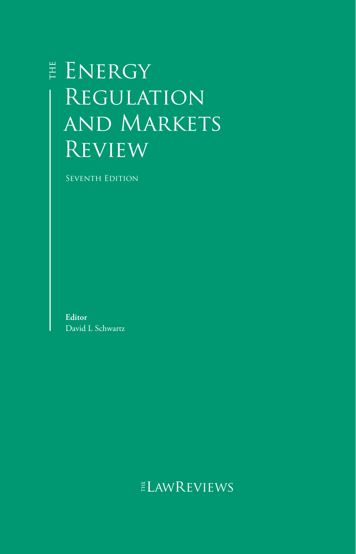# E ENERGY **REGULATION** and Markets **REVIEW**

SEVENTH EDITION

**Editor** David L Schwartz

## ELAWREVIEWS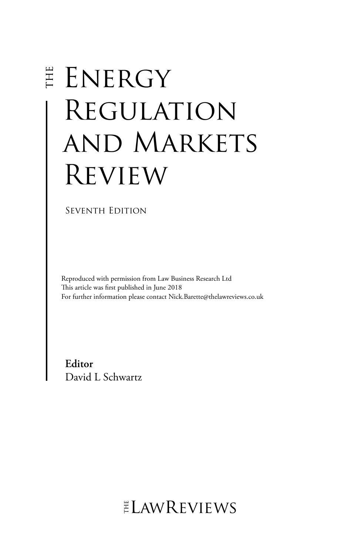# E ENERGY Regulation and Markets Review

SEVENTH EDITION

Reproduced with permission from Law Business Research Ltd This article was first published in June 2018 For further information please contact Nick.Barette@thelawreviews.co.uk

**Editor** David L Schwartz

 $ELMR$  EVIEWS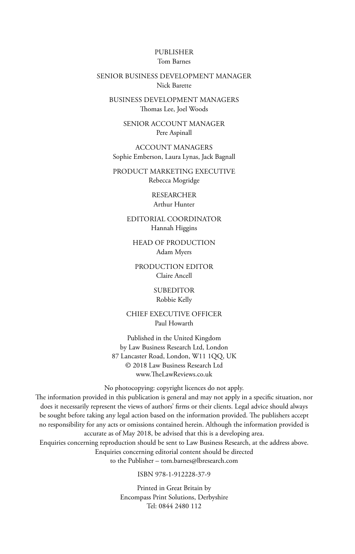#### PUBLISHER Tom Barnes

#### SENIOR BUSINESS DEVELOPMENT MANAGER Nick Barette

BUSINESS DEVELOPMENT MANAGERS Thomas Lee, Joel Woods

> SENIOR ACCOUNT MANAGER Pere Aspinall

ACCOUNT MANAGERS Sophie Emberson, Laura Lynas, Jack Bagnall

PRODUCT MARKETING EXECUTIVE Rebecca Mogridge

> RESEARCHER Arthur Hunter

EDITORIAL COORDINATOR Hannah Higgins

HEAD OF PRODUCTION Adam Myers

PRODUCTION EDITOR Claire Ancell

> SUBEDITOR Robbie Kelly

CHIEF EXECUTIVE OFFICER Paul Howarth

Published in the United Kingdom by Law Business Research Ltd, London 87 Lancaster Road, London, W11 1QQ, UK © 2018 Law Business Research Ltd www.TheLawReviews.co.uk

No photocopying: copyright licences do not apply.

The information provided in this publication is general and may not apply in a specific situation, nor does it necessarily represent the views of authors' firms or their clients. Legal advice should always be sought before taking any legal action based on the information provided. The publishers accept no responsibility for any acts or omissions contained herein. Although the information provided is accurate as of May 2018, be advised that this is a developing area. Enquiries concerning reproduction should be sent to Law Business Research, at the address above. Enquiries concerning editorial content should be directed

to the Publisher – tom.barnes@lbresearch.com

ISBN 978-1-912228-37-9

Printed in Great Britain by Encompass Print Solutions, Derbyshire Tel: 0844 2480 112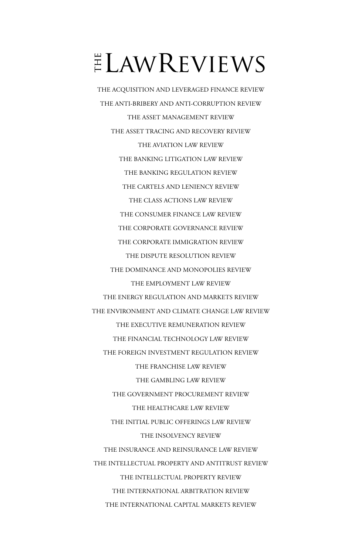# $ELMR$  EVIEWS

THE ACQUISITION AND LEVERAGED FINANCE REVIEW THE ANTI-BRIBERY AND ANTI-CORRUPTION REVIEW THE ASSET MANAGEMENT REVIEW THE ASSET TRACING AND RECOVERY REVIEW THE AVIATION LAW REVIEW THE BANKING LITIGATION LAW REVIEW THE BANKING REGULATION REVIEW THE CARTELS AND LENIENCY REVIEW THE CLASS ACTIONS LAW REVIEW THE CONSUMER FINANCE LAW REVIEW THE CORPORATE GOVERNANCE REVIEW THE CORPORATE IMMIGRATION REVIEW THE DISPUTE RESOLUTION REVIEW THE DOMINANCE AND MONOPOLIES REVIEW THE EMPLOYMENT LAW REVIEW THE ENERGY REGULATION AND MARKETS REVIEW THE ENVIRONMENT AND CLIMATE CHANGE LAW REVIEW THE EXECUTIVE REMUNERATION REVIEW THE FINANCIAL TECHNOLOGY LAW REVIEW THE FOREIGN INVESTMENT REGULATION REVIEW THE FRANCHISE LAW REVIEW THE GAMBLING LAW REVIEW THE GOVERNMENT PROCUREMENT REVIEW THE HEALTHCARE LAW REVIEW THE INITIAL PUBLIC OFFERINGS LAW REVIEW THE INSOLVENCY REVIEW THE INSURANCE AND REINSURANCE LAW REVIEW THE INTELLECTUAL PROPERTY AND ANTITRUST REVIEW THE INTELLECTUAL PROPERTY REVIEW THE INTERNATIONAL ARBITRATION REVIEW THE INTERNATIONAL CAPITAL MARKETS REVIEW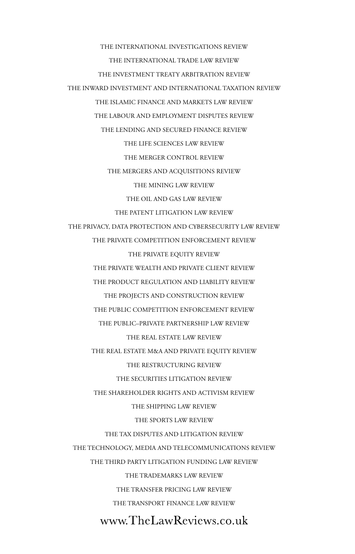THE INTERNATIONAL INVESTIGATIONS REVIEW THE INTERNATIONAL TRADE LAW REVIEW THE INVESTMENT TREATY ARBITRATION REVIEW THE INWARD INVESTMENT AND INTERNATIONAL TAXATION REVIEW THE ISLAMIC FINANCE AND MARKETS LAW REVIEW THE LABOUR AND EMPLOYMENT DISPUTES REVIEW THE LENDING AND SECURED FINANCE REVIEW THE LIFE SCIENCES LAW REVIEW THE MERGER CONTROL REVIEW THE MERGERS AND ACQUISITIONS REVIEW THE MINING LAW REVIEW THE OIL AND GAS LAW REVIEW THE PATENT LITIGATION LAW REVIEW THE PRIVACY, DATA PROTECTION AND CYBERSECURITY LAW REVIEW THE PRIVATE COMPETITION ENFORCEMENT REVIEW THE PRIVATE EQUITY REVIEW THE PRIVATE WEALTH AND PRIVATE CLIENT REVIEW THE PRODUCT REGULATION AND LIABILITY REVIEW THE PROJECTS AND CONSTRUCTION REVIEW THE PUBLIC COMPETITION ENFORCEMENT REVIEW THE PUBLIC–PRIVATE PARTNERSHIP LAW REVIEW THE REAL ESTATE LAW REVIEW THE REAL ESTATE M&A AND PRIVATE EQUITY REVIEW THE RESTRUCTURING REVIEW THE SECURITIES LITIGATION REVIEW THE SHAREHOLDER RIGHTS AND ACTIVISM REVIEW THE SHIPPING LAW REVIEW THE SPORTS LAW REVIEW THE TAX DISPUTES AND LITIGATION REVIEW THE TECHNOLOGY, MEDIA AND TELECOMMUNICATIONS REVIEW THE THIRD PARTY LITIGATION FUNDING LAW REVIEW THE TRADEMARKS LAW REVIEW THE TRANSFER PRICING LAW REVIEW THE TRANSPORT FINANCE LAW REVIEWwww.TheLawReviews.co.uk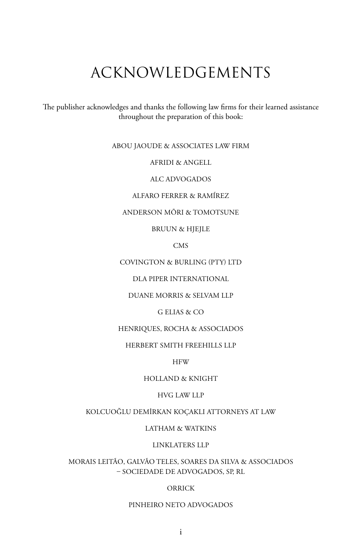## ACKNOWLEDGEMENTS

The publisher acknowledges and thanks the following law firms for their learned assistance throughout the preparation of this book:

#### ABOU JAOUDE & ASSOCIATES LAW FIRM

AFRIDI & ANGELL

ALC ADVOGADOS

ALFARO FERRER & RAMÍREZ

ANDERSON MŌRI & TOMOTSUNE

BRUUN & HJEJLE

CMS

COVINGTON & BURLING (PTY) LTD

DLA PIPER INTERNATIONAL

DUANE MORRIS & SELVAM LLP

G ELIAS & CO

HENRIQUES, ROCHA & ASSOCIADOS

HERBERT SMITH FREEHILLS LLP

**HFW** 

HOLLAND & KNIGHT

#### HVG LAW LLP

KOLCUOĞLU DEMİRKAN KOÇAKLI ATTORNEYS AT LAW

LATHAM & WATKINS

LINKLATERS LLP

MORAIS LEITÃO, GALVÃO TELES, SOARES DA SILVA & ASSOCIADOS – SOCIEDADE DE ADVOGADOS, SP, RL

#### ORRICK

#### PINHEIRO NETO ADVOGADOS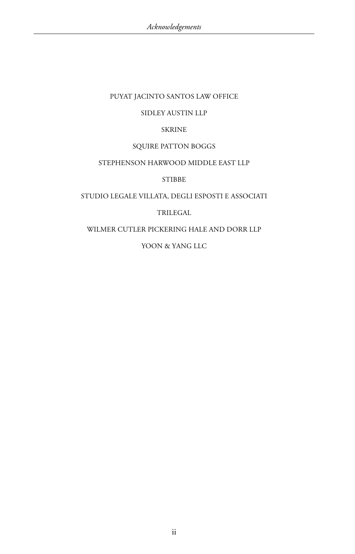#### PUYAT JACINTO SANTOS LAW OFFICE

#### SIDLEY AUSTIN LLP

#### SKRINE

#### SQUIRE PATTON BOGGS

#### STEPHENSON HARWOOD MIDDLE EAST LLP

#### STIBBE

#### STUDIO LEGALE VILLATA, DEGLI ESPOSTI E ASSOCIATI

#### TRILEGAL

#### WILMER CUTLER PICKERING HALE AND DORR LLP

#### YOON & YANG LLC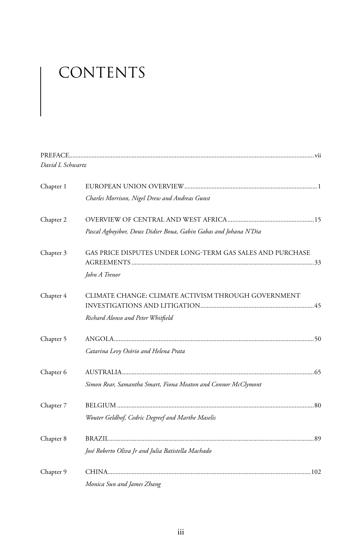# CONTENTS

| David L Schwartz |                                                                  |
|------------------|------------------------------------------------------------------|
| Chapter 1        |                                                                  |
|                  | Charles Morrison, Nigel Drew and Andreas Gunst                   |
| Chapter 2        |                                                                  |
|                  | Pascal Agboyibor, Doux Didier Boua, Gabin Gabas and Johana N'Dia |
| Chapter 3        | GAS PRICE DISPUTES UNDER LONG-TERM GAS SALES AND PURCHASE        |
|                  | John A Trenor                                                    |
| Chapter 4        | CLIMATE CHANGE: CLIMATE ACTIVISM THROUGH GOVERNMENT              |
|                  | Richard Alonso and Peter Whitfield                               |
| Chapter 5        |                                                                  |
|                  | Catarina Levy Osório and Helena Prata                            |
| Chapter 6        |                                                                  |
|                  | Simon Rear, Samantha Smart, Fiona Meaton and Connor McClymont    |
| Chapter 7        |                                                                  |
|                  | Wouter Geldhof, Cedric Degreef and Marthe Maselis                |
| Chapter 8        |                                                                  |
|                  | José Roberto Oliva Jr and Julia Batistella Machado               |
| Chapter 9        |                                                                  |
|                  | Monica Sun and James Zhang                                       |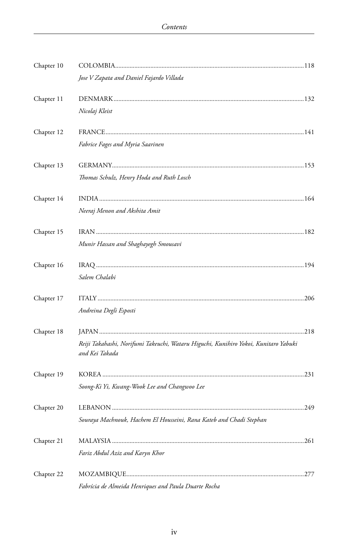| Chapter 10 |                                                                                                       |  |
|------------|-------------------------------------------------------------------------------------------------------|--|
|            | Jose V Zapata and Daniel Fajardo Villada                                                              |  |
| Chapter 11 |                                                                                                       |  |
|            | Nicolaj Kleist                                                                                        |  |
| Chapter 12 |                                                                                                       |  |
|            | Fabrice Fages and Myria Saarinen                                                                      |  |
| Chapter 13 |                                                                                                       |  |
|            | Thomas Schulz, Henry Hoda and Ruth Losch                                                              |  |
| Chapter 14 |                                                                                                       |  |
|            | Neeraj Menon and Akshita Amit                                                                         |  |
| Chapter 15 |                                                                                                       |  |
|            | Munir Hassan and Shaghayegh Smousavi                                                                  |  |
| Chapter 16 |                                                                                                       |  |
|            | Salem Chalabi                                                                                         |  |
| Chapter 17 |                                                                                                       |  |
|            | Andreina Degli Esposti                                                                                |  |
| Chapter 18 |                                                                                                       |  |
|            | Reiji Takahashi, Norifumi Takeuchi, Wataru Higuchi, Kunihiro Yokoi, Kunitaro Yabuki<br>and Kei Takada |  |
| Chapter 19 |                                                                                                       |  |
|            | Soong-Ki Yi, Kwang-Wook Lee and Changwoo Lee                                                          |  |
| Chapter 20 |                                                                                                       |  |
|            | Souraya Machnouk, Hachem El Housseini, Rana Kateb and Chadi Stephan                                   |  |
| Chapter 21 |                                                                                                       |  |
|            | Fariz Abdul Aziz and Karyn Khor                                                                       |  |
| Chapter 22 |                                                                                                       |  |
|            | Fabrícia de Almeida Henriques and Paula Duarte Rocha                                                  |  |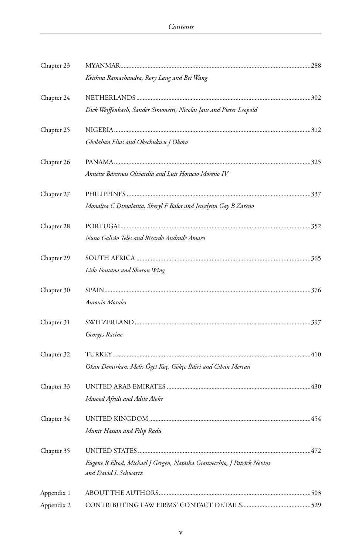| Chapter 23 |                                                                                                 |  |
|------------|-------------------------------------------------------------------------------------------------|--|
|            | Krishna Ramachandra, Rory Lang and Bei Wang                                                     |  |
| Chapter 24 |                                                                                                 |  |
|            | Dick Weiffenbach, Sander Simonetti, Nicolas Jans and Pieter Leopold                             |  |
| Chapter 25 |                                                                                                 |  |
|            | Gbolahan Elias and Okechukwu J Okoro                                                            |  |
| Chapter 26 |                                                                                                 |  |
|            | Annette Bárcenas Olivardía and Luis Horacio Moreno IV                                           |  |
| Chapter 27 |                                                                                                 |  |
|            | Monalisa C Dimalanta, Sheryl F Balot and Jewelynn Gay B Zareno                                  |  |
| Chapter 28 |                                                                                                 |  |
|            | Nuno Galvão Teles and Ricardo Andrade Amaro                                                     |  |
| Chapter 29 |                                                                                                 |  |
|            | Lido Fontana and Sharon Wing                                                                    |  |
| Chapter 30 |                                                                                                 |  |
|            | Antonio Morales                                                                                 |  |
| Chapter 31 |                                                                                                 |  |
|            | Georges Racine                                                                                  |  |
| Chapter 32 |                                                                                                 |  |
|            | Okan Demirkan, Melis Öget Koç, Gökçe İldiri and Cihan Mercan                                    |  |
| Chapter 33 |                                                                                                 |  |
|            | Masood Afridi and Adite Aloke                                                                   |  |
| Chapter 34 |                                                                                                 |  |
|            | Munir Hassan and Filip Radu                                                                     |  |
| Chapter 35 |                                                                                                 |  |
|            | Eugene R Elrod, Michael J Gergen, Natasha Gianvecchio, J Patrick Nevins<br>and David L Schwartz |  |
| Appendix 1 |                                                                                                 |  |
| Appendix 2 |                                                                                                 |  |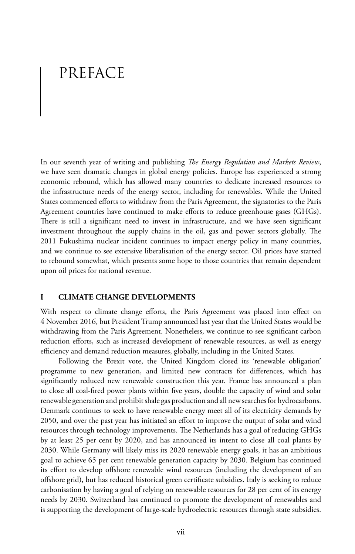## PREFACE

In our seventh year of writing and publishing *The Energy Regulation and Markets Review*, we have seen dramatic changes in global energy policies. Europe has experienced a strong economic rebound, which has allowed many countries to dedicate increased resources to the infrastructure needs of the energy sector, including for renewables. While the United States commenced efforts to withdraw from the Paris Agreement, the signatories to the Paris Agreement countries have continued to make efforts to reduce greenhouse gases (GHGs). There is still a significant need to invest in infrastructure, and we have seen significant investment throughout the supply chains in the oil, gas and power sectors globally. The 2011 Fukushima nuclear incident continues to impact energy policy in many countries, and we continue to see extensive liberalisation of the energy sector. Oil prices have started to rebound somewhat, which presents some hope to those countries that remain dependent upon oil prices for national revenue.

#### **I CLIMATE CHANGE DEVELOPMENTS**

With respect to climate change efforts, the Paris Agreement was placed into effect on 4 November 2016, but President Trump announced last year that the United States would be withdrawing from the Paris Agreement. Nonetheless, we continue to see significant carbon reduction efforts, such as increased development of renewable resources, as well as energy efficiency and demand reduction measures, globally, including in the United States.

Following the Brexit vote, the United Kingdom closed its 'renewable obligation' programme to new generation, and limited new contracts for differences, which has significantly reduced new renewable construction this year. France has announced a plan to close all coal-fired power plants within five years, double the capacity of wind and solar renewable generation and prohibit shale gas production and all new searches for hydrocarbons. Denmark continues to seek to have renewable energy meet all of its electricity demands by 2050, and over the past year has initiated an effort to improve the output of solar and wind resources through technology improvements. The Netherlands has a goal of reducing GHGs by at least 25 per cent by 2020, and has announced its intent to close all coal plants by 2030. While Germany will likely miss its 2020 renewable energy goals, it has an ambitious goal to achieve 65 per cent renewable generation capacity by 2030. Belgium has continued its effort to develop offshore renewable wind resources (including the development of an offshore grid), but has reduced historical green certificate subsidies. Italy is seeking to reduce carbonisation by having a goal of relying on renewable resources for 28 per cent of its energy needs by 2030. Switzerland has continued to promote the development of renewables and is supporting the development of large-scale hydroelectric resources through state subsidies.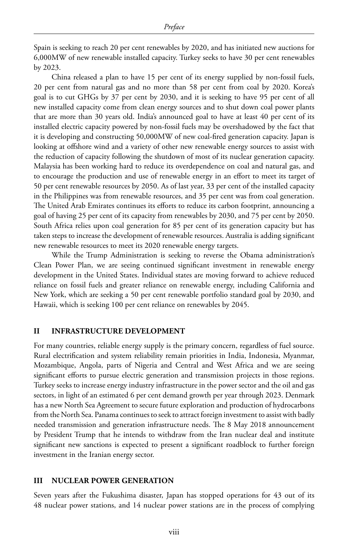Spain is seeking to reach 20 per cent renewables by 2020, and has initiated new auctions for 6,000MW of new renewable installed capacity. Turkey seeks to have 30 per cent renewables by 2023.

China released a plan to have 15 per cent of its energy supplied by non-fossil fuels, 20 per cent from natural gas and no more than 58 per cent from coal by 2020. Korea's goal is to cut GHGs by 37 per cent by 2030, and it is seeking to have 95 per cent of all new installed capacity come from clean energy sources and to shut down coal power plants that are more than 30 years old. India's announced goal to have at least 40 per cent of its installed electric capacity powered by non-fossil fuels may be overshadowed by the fact that it is developing and constructing 50,000MW of new coal-fired generation capacity. Japan is looking at offshore wind and a variety of other new renewable energy sources to assist with the reduction of capacity following the shutdown of most of its nuclear generation capacity. Malaysia has been working hard to reduce its overdependence on coal and natural gas, and to encourage the production and use of renewable energy in an effort to meet its target of 50 per cent renewable resources by 2050. As of last year, 33 per cent of the installed capacity in the Philippines was from renewable resources, and 35 per cent was from coal generation. The United Arab Emirates continues its efforts to reduce its carbon footprint, announcing a goal of having 25 per cent of its capacity from renewables by 2030, and 75 per cent by 2050. South Africa relies upon coal generation for 85 per cent of its generation capacity but has taken steps to increase the development of renewable resources. Australia is adding significant new renewable resources to meet its 2020 renewable energy targets.

While the Trump Administration is seeking to reverse the Obama administration's Clean Power Plan, we are seeing continued significant investment in renewable energy development in the United States. Individual states are moving forward to achieve reduced reliance on fossil fuels and greater reliance on renewable energy, including California and New York, which are seeking a 50 per cent renewable portfolio standard goal by 2030, and Hawaii, which is seeking 100 per cent reliance on renewables by 2045.

#### **II INFRASTRUCTURE DEVELOPMENT**

For many countries, reliable energy supply is the primary concern, regardless of fuel source. Rural electrification and system reliability remain priorities in India, Indonesia, Myanmar, Mozambique, Angola, parts of Nigeria and Central and West Africa and we are seeing significant efforts to pursue electric generation and transmission projects in those regions. Turkey seeks to increase energy industry infrastructure in the power sector and the oil and gas sectors, in light of an estimated 6 per cent demand growth per year through 2023. Denmark has a new North Sea Agreement to secure future exploration and production of hydrocarbons from the North Sea. Panama continues to seek to attract foreign investment to assist with badly needed transmission and generation infrastructure needs. The 8 May 2018 announcement by President Trump that he intends to withdraw from the Iran nuclear deal and institute significant new sanctions is expected to present a significant roadblock to further foreign investment in the Iranian energy sector.

#### **III NUCLEAR POWER GENERATION**

Seven years after the Fukushima disaster, Japan has stopped operations for 43 out of its 48 nuclear power stations, and 14 nuclear power stations are in the process of complying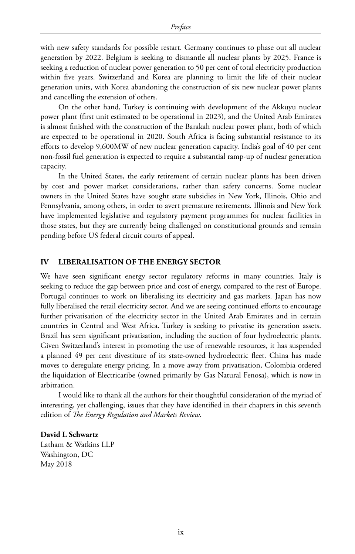with new safety standards for possible restart. Germany continues to phase out all nuclear generation by 2022. Belgium is seeking to dismantle all nuclear plants by 2025. France is seeking a reduction of nuclear power generation to 50 per cent of total electricity production within five years. Switzerland and Korea are planning to limit the life of their nuclear generation units, with Korea abandoning the construction of six new nuclear power plants and cancelling the extension of others.

On the other hand, Turkey is continuing with development of the Akkuyu nuclear power plant (first unit estimated to be operational in 2023), and the United Arab Emirates is almost finished with the construction of the Barakah nuclear power plant, both of which are expected to be operational in 2020. South Africa is facing substantial resistance to its efforts to develop 9,600MW of new nuclear generation capacity. India's goal of 40 per cent non-fossil fuel generation is expected to require a substantial ramp-up of nuclear generation capacity.

In the United States, the early retirement of certain nuclear plants has been driven by cost and power market considerations, rather than safety concerns. Some nuclear owners in the United States have sought state subsidies in New York, Illinois, Ohio and Pennsylvania, among others, in order to avert premature retirements. Illinois and New York have implemented legislative and regulatory payment programmes for nuclear facilities in those states, but they are currently being challenged on constitutional grounds and remain pending before US federal circuit courts of appeal.

#### **IV LIBERALISATION OF THE ENERGY SECTOR**

We have seen significant energy sector regulatory reforms in many countries. Italy is seeking to reduce the gap between price and cost of energy, compared to the rest of Europe. Portugal continues to work on liberalising its electricity and gas markets. Japan has now fully liberalised the retail electricity sector. And we are seeing continued efforts to encourage further privatisation of the electricity sector in the United Arab Emirates and in certain countries in Central and West Africa. Turkey is seeking to privatise its generation assets. Brazil has seen significant privatisation, including the auction of four hydroelectric plants. Given Switzerland's interest in promoting the use of renewable resources, it has suspended a planned 49 per cent divestiture of its state-owned hydroelectric fleet. China has made moves to deregulate energy pricing. In a move away from privatisation, Colombia ordered the liquidation of Electricaribe (owned primarily by Gas Natural Fenosa), which is now in arbitration.

I would like to thank all the authors for their thoughtful consideration of the myriad of interesting, yet challenging, issues that they have identified in their chapters in this seventh edition of *The Energy Regulation and Markets Review*.

#### **David L Schwartz**

Latham & Watkins LLP Washington, DC May 2018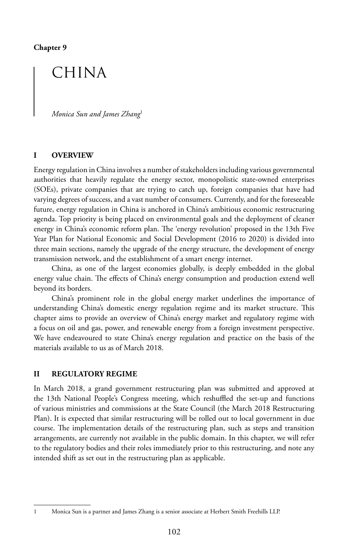### CHINA

*Monica Sun and James Zhang*<sup>1</sup>

#### **I OVERVIEW**

Energy regulation in China involves a number of stakeholders including various governmental authorities that heavily regulate the energy sector, monopolistic state-owned enterprises (SOEs), private companies that are trying to catch up, foreign companies that have had varying degrees of success, and a vast number of consumers. Currently, and for the foreseeable future, energy regulation in China is anchored in China's ambitious economic restructuring agenda. Top priority is being placed on environmental goals and the deployment of cleaner energy in China's economic reform plan. The 'energy revolution' proposed in the 13th Five Year Plan for National Economic and Social Development (2016 to 2020) is divided into three main sections, namely the upgrade of the energy structure, the development of energy transmission network, and the establishment of a smart energy internet.

China, as one of the largest economies globally, is deeply embedded in the global energy value chain. The effects of China's energy consumption and production extend well beyond its borders.

China's prominent role in the global energy market underlines the importance of understanding China's domestic energy regulation regime and its market structure. This chapter aims to provide an overview of China's energy market and regulatory regime with a focus on oil and gas, power, and renewable energy from a foreign investment perspective. We have endeavoured to state China's energy regulation and practice on the basis of the materials available to us as of March 2018.

#### **II REGULATORY REGIME**

In March 2018, a grand government restructuring plan was submitted and approved at the 13th National People's Congress meeting, which reshuffled the set-up and functions of various ministries and commissions at the State Council (the March 2018 Restructuring Plan). It is expected that similar restructuring will be rolled out to local government in due course. The implementation details of the restructuring plan, such as steps and transition arrangements, are currently not available in the public domain. In this chapter, we will refer to the regulatory bodies and their roles immediately prior to this restructuring, and note any intended shift as set out in the restructuring plan as applicable.

<sup>1</sup> Monica Sun is a partner and James Zhang is a senior associate at Herbert Smith Freehills LLP.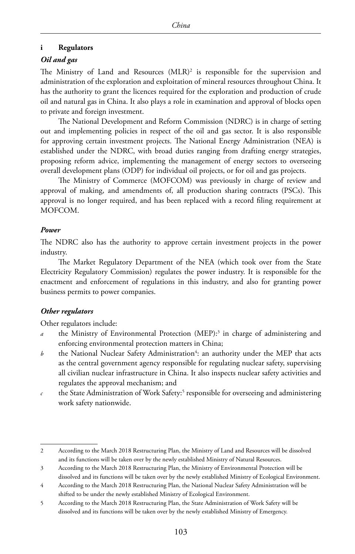#### **i Regulators**

#### *Oil and gas*

The Ministry of Land and Resources  $(MLR)^2$  is responsible for the supervision and administration of the exploration and exploitation of mineral resources throughout China. It has the authority to grant the licences required for the exploration and production of crude oil and natural gas in China. It also plays a role in examination and approval of blocks open to private and foreign investment.

The National Development and Reform Commission (NDRC) is in charge of setting out and implementing policies in respect of the oil and gas sector. It is also responsible for approving certain investment projects. The National Energy Administration (NEA) is established under the NDRC, with broad duties ranging from drafting energy strategies, proposing reform advice, implementing the management of energy sectors to overseeing overall development plans (ODP) for individual oil projects, or for oil and gas projects.

The Ministry of Commerce (MOFCOM) was previously in charge of review and approval of making, and amendments of, all production sharing contracts (PSCs). This approval is no longer required, and has been replaced with a record filing requirement at MOFCOM.

#### *Power*

The NDRC also has the authority to approve certain investment projects in the power industry.

The Market Regulatory Department of the NEA (which took over from the State Electricity Regulatory Commission) regulates the power industry. It is responsible for the enactment and enforcement of regulations in this industry, and also for granting power business permits to power companies.

#### *Other regulators*

Other regulators include:

- a the Ministry of Environmental Protection (MEP):<sup>3</sup> in charge of administering and enforcing environmental protection matters in China;
- $b$  the National Nuclear Safety Administration<sup>4</sup>: an authority under the MEP that acts as the central government agency responsible for regulating nuclear safety, supervising all civilian nuclear infrastructure in China. It also inspects nuclear safety activities and regulates the approval mechanism; and
- $\epsilon$  the State Administration of Work Safety:<sup>5</sup> responsible for overseeing and administering work safety nationwide.

<sup>2</sup> According to the March 2018 Restructuring Plan, the Ministry of Land and Resources will be dissolved and its functions will be taken over by the newly established Ministry of Natural Resources.

<sup>3</sup> According to the March 2018 Restructuring Plan, the Ministry of Environmental Protection will be dissolved and its functions will be taken over by the newly established Ministry of Ecological Environment.

<sup>4</sup> According to the March 2018 Restructuring Plan, the National Nuclear Safety Administration will be shifted to be under the newly established Ministry of Ecological Environment.

<sup>5</sup> According to the March 2018 Restructuring Plan, the State Administration of Work Safety will be dissolved and its functions will be taken over by the newly established Ministry of Emergency.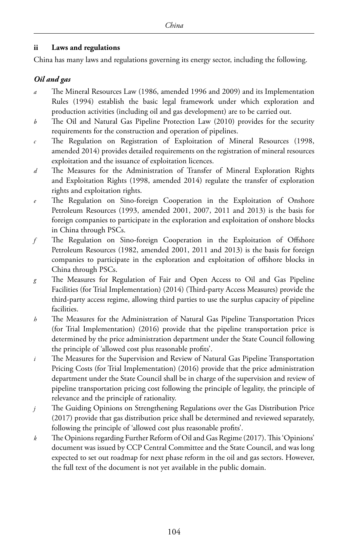#### **ii Laws and regulations**

China has many laws and regulations governing its energy sector, including the following.

#### *Oil and gas*

- *a* The Mineral Resources Law (1986, amended 1996 and 2009) and its Implementation Rules (1994) establish the basic legal framework under which exploration and production activities (including oil and gas development) are to be carried out.
- *b* The Oil and Natural Gas Pipeline Protection Law (2010) provides for the security requirements for the construction and operation of pipelines.
- *c* The Regulation on Registration of Exploitation of Mineral Resources (1998, amended 2014) provides detailed requirements on the registration of mineral resources exploitation and the issuance of exploitation licences.
- *d* The Measures for the Administration of Transfer of Mineral Exploration Rights and Exploitation Rights (1998, amended 2014) regulate the transfer of exploration rights and exploitation rights.
- *e* The Regulation on Sino-foreign Cooperation in the Exploitation of Onshore Petroleum Resources (1993, amended 2001, 2007, 2011 and 2013) is the basis for foreign companies to participate in the exploration and exploitation of onshore blocks in China through PSCs.
- *f* The Regulation on Sino-foreign Cooperation in the Exploitation of Offshore Petroleum Resources (1982, amended 2001, 2011 and 2013) is the basis for foreign companies to participate in the exploration and exploitation of offshore blocks in China through PSCs.
- *g* The Measures for Regulation of Fair and Open Access to Oil and Gas Pipeline Facilities (for Trial Implementation) (2014) (Third-party Access Measures) provide the third-party access regime, allowing third parties to use the surplus capacity of pipeline facilities.
- *h* The Measures for the Administration of Natural Gas Pipeline Transportation Prices (for Trial Implementation) (2016) provide that the pipeline transportation price is determined by the price administration department under the State Council following the principle of 'allowed cost plus reasonable profits'.
- *i* The Measures for the Supervision and Review of Natural Gas Pipeline Transportation Pricing Costs (for Trial Implementation) (2016) provide that the price administration department under the State Council shall be in charge of the supervision and review of pipeline transportation pricing cost following the principle of legality, the principle of relevance and the principle of rationality.
- *j* The Guiding Opinions on Strengthening Regulations over the Gas Distribution Price (2017) provide that gas distribution price shall be determined and reviewed separately, following the principle of 'allowed cost plus reasonable profits'.
- *k* The Opinions regarding Further Reform of Oil and Gas Regime (2017). This 'Opinions' document was issued by CCP Central Committee and the State Council, and was long expected to set out roadmap for next phase reform in the oil and gas sectors. However, the full text of the document is not yet available in the public domain.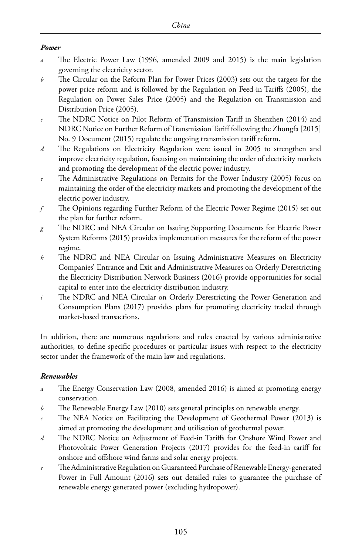#### *Power*

- *a* The Electric Power Law (1996, amended 2009 and 2015) is the main legislation governing the electricity sector.
- *b* The Circular on the Reform Plan for Power Prices (2003) sets out the targets for the power price reform and is followed by the Regulation on Feed-in Tariffs (2005), the Regulation on Power Sales Price (2005) and the Regulation on Transmission and Distribution Price (2005).
- *c* The NDRC Notice on Pilot Reform of Transmission Tariff in Shenzhen (2014) and NDRC Notice on Further Reform of Transmission Tariff following the Zhongfa [2015] No. 9 Document (2015) regulate the ongoing transmission tariff reform.
- *d* The Regulations on Electricity Regulation were issued in 2005 to strengthen and improve electricity regulation, focusing on maintaining the order of electricity markets and promoting the development of the electric power industry.
- *e* The Administrative Regulations on Permits for the Power Industry (2005) focus on maintaining the order of the electricity markets and promoting the development of the electric power industry.
- *f* The Opinions regarding Further Reform of the Electric Power Regime (2015) set out the plan for further reform.
- *g* The NDRC and NEA Circular on Issuing Supporting Documents for Electric Power System Reforms (2015) provides implementation measures for the reform of the power regime.
- *h* The NDRC and NEA Circular on Issuing Administrative Measures on Electricity Companies' Entrance and Exit and Administrative Measures on Orderly Derestricting the Electricity Distribution Network Business (2016) provide opportunities for social capital to enter into the electricity distribution industry.
- *i* The NDRC and NEA Circular on Orderly Derestricting the Power Generation and Consumption Plans (2017) provides plans for promoting electricity traded through market-based transactions.

In addition, there are numerous regulations and rules enacted by various administrative authorities, to define specific procedures or particular issues with respect to the electricity sector under the framework of the main law and regulations.

#### *Renewables*

- *a* The Energy Conservation Law (2008, amended 2016) is aimed at promoting energy conservation.
- *b* The Renewable Energy Law (2010) sets general principles on renewable energy.
- *c* The NEA Notice on Facilitating the Development of Geothermal Power (2013) is aimed at promoting the development and utilisation of geothermal power.
- *d* The NDRC Notice on Adjustment of Feed-in Tariffs for Onshore Wind Power and Photovoltaic Power Generation Projects (2017) provides for the feed-in tariff for onshore and offshore wind farms and solar energy projects.
- *e* The Administrative Regulation on Guaranteed Purchase of Renewable Energy-generated Power in Full Amount (2016) sets out detailed rules to guarantee the purchase of renewable energy generated power (excluding hydropower).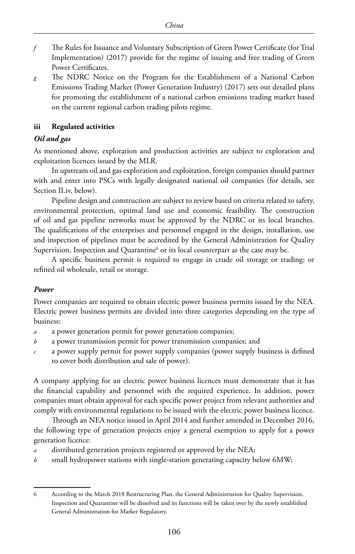- *f* The Rules for Issuance and Voluntary Subscription of Green Power Certificate (for Trial Implementation) (2017) provide for the regime of issuing and free trading of Green Power Certificates.
- *g* The NDRC Notice on the Program for the Establishment of a National Carbon Emissions Trading Market (Power Generation Industry) (2017) sets out detailed plans for promoting the establishment of a national carbon emissions trading market based on the current regional carbon trading pilots regime.

#### **iii Regulated activities**

#### *Oil and gas*

As mentioned above, exploration and production activities are subject to exploration and exploitation licences issued by the MLR.

In upstream oil and gas exploration and exploitation, foreign companies should partner with and enter into PSCs with legally designated national oil companies (for details, see Section II.iv, below).

Pipeline design and construction are subject to review based on criteria related to safety, environmental protection, optimal land use and economic feasibility. The construction of oil and gas pipeline networks must be approved by the NDRC or its local branches. The qualifications of the enterprises and personnel engaged in the design, installation, use and inspection of pipelines must be accredited by the General Administration for Quality Supervision, Inspection and Quarantine $^6$  or its local counterpart as the case may be.

A specific business permit is required to engage in crude oil storage or trading; or refined oil wholesale, retail or storage.

#### *Power*

Power companies are required to obtain electric power business permits issued by the NEA. Electric power business permits are divided into three categories depending on the type of business:

- *a* a power generation permit for power generation companies;
- *b* a power transmission permit for power transmission companies; and
- *c* a power supply permit for power supply companies (power supply business is defined to cover both distribution and sale of power).

A company applying for an electric power business licences must demonstrate that it has the financial capability and personnel with the required experience. In addition, power companies must obtain approval for each specific power project from relevant authorities and comply with environmental regulations to be issued with the electric power business licence.

Through an NEA notice issued in April 2014 and further amended in December 2016, the following type of generation projects enjoy a general exemption to apply for a power generation licence:

- *a* distributed generation projects registered or approved by the NEA;
- *b* small hydropower stations with single-station generating capacity below 6MW;

<sup>6</sup> According to the March 2018 Restructuring Plan, the General Administration for Quality Supervision, Inspection and Quarantine will be dissolved and its functions will be taken over by the newly established General Administration for Market Regulatory.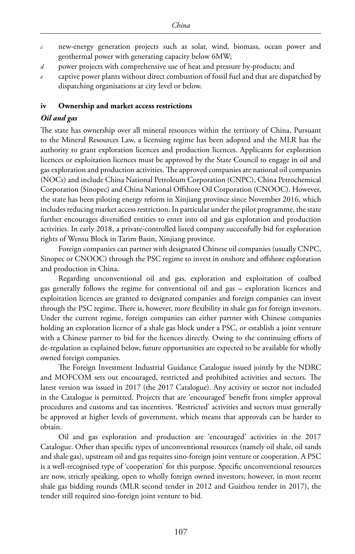- *c* new-energy generation projects such as solar, wind, biomass, ocean power and geothermal power with generating capacity below 6MW;
- *d* power projects with comprehensive use of heat and pressure by-products; and
- *e* captive power plants without direct combustion of fossil fuel and that are dispatched by dispatching organisations at city level or below.

#### **iv Ownership and market access restrictions**

#### *Oil and gas*

The state has ownership over all mineral resources within the territory of China. Pursuant to the Mineral Resources Law, a licensing regime has been adopted and the MLR has the authority to grant exploration licences and production licences. Applicants for exploration licences or exploitation licences must be approved by the State Council to engage in oil and gas exploration and production activities. The approved companies are national oil companies (NOCs) and include China National Petroleum Corporation (CNPC), China Petrochemical Corporation (Sinopec) and China National Offshore Oil Corporation (CNOOC). However, the state has been piloting energy reform in Xinjiang province since November 2016, which includes reducing market access restriction. In particular under the pilot programme, the state further encourages diversified entities to enter into oil and gas exploration and production activities. In early 2018, a private-controlled listed company successfully bid for exploration rights of Wensu Block in Tarim Basin, Xinjiang province.

Foreign companies can partner with designated Chinese oil companies (usually CNPC, Sinopec or CNOOC) through the PSC regime to invest in onshore and offshore exploration and production in China.

Regarding unconventional oil and gas, exploration and exploitation of coalbed gas generally follows the regime for conventional oil and gas – exploration licences and exploitation licences are granted to designated companies and foreign companies can invest through the PSC regime. There is, however, more flexibility in shale gas for foreign investors. Under the current regime, foreign companies can either partner with Chinese companies holding an exploration licence of a shale gas block under a PSC, or establish a joint venture with a Chinese partner to bid for the licences directly. Owing to the continuing efforts of de-regulation as explained below, future opportunities are expected to be available for wholly owned foreign companies.

The Foreign Investment Industrial Guidance Catalogue issued jointly by the NDRC and MOFCOM sets out encouraged, restricted and prohibited activities and sectors. The latest version was issued in 2017 (the 2017 Catalogue). Any activity or sector not included in the Catalogue is permitted. Projects that are 'encouraged' benefit from simpler approval procedures and customs and tax incentives. 'Restricted' activities and sectors must generally be approved at higher levels of government, which means that approvals can be harder to obtain.

Oil and gas exploration and production are 'encouraged' activities in the 2017 Catalogue. Other than specific types of unconventional resources (namely oil shale, oil sands and shale gas), upstream oil and gas requires sino-foreign joint venture or cooperation. A PSC is a well-recognised type of 'cooperation' for this purpose. Specific unconventional resources are now, strictly speaking, open to wholly foreign owned investors; however, in most recent shale gas bidding rounds (MLR second tender in 2012 and Guizhou tender in 2017), the tender still required sino-foreign joint venture to bid.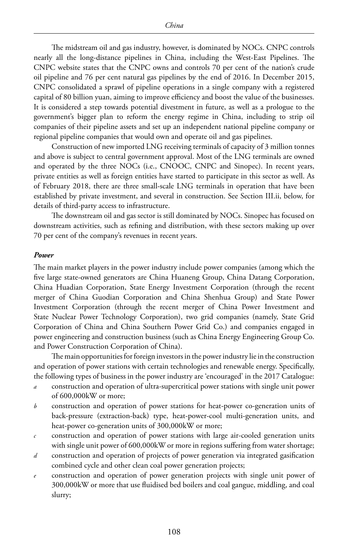The midstream oil and gas industry, however, is dominated by NOCs. CNPC controls nearly all the long-distance pipelines in China, including the West-East Pipelines. The CNPC website states that the CNPC owns and controls 70 per cent of the nation's crude oil pipeline and 76 per cent natural gas pipelines by the end of 2016. In December 2015, CNPC consolidated a sprawl of pipeline operations in a single company with a registered capital of 80 billion yuan, aiming to improve efficiency and boost the value of the businesses. It is considered a step towards potential divestment in future, as well as a prologue to the government's bigger plan to reform the energy regime in China, including to strip oil companies of their pipeline assets and set up an independent national pipeline company or regional pipeline companies that would own and operate oil and gas pipelines.

Construction of new imported LNG receiving terminals of capacity of 3 million tonnes and above is subject to central government approval. Most of the LNG terminals are owned and operated by the three NOCs (i.e., CNOOC, CNPC and Sinopec). In recent years, private entities as well as foreign entities have started to participate in this sector as well. As of February 2018, there are three small-scale LNG terminals in operation that have been established by private investment, and several in construction. See Section III.ii, below, for details of third-party access to infrastructure.

The downstream oil and gas sector is still dominated by NOCs. Sinopec has focused on downstream activities, such as refining and distribution, with these sectors making up over 70 per cent of the company's revenues in recent years.

#### *Power*

The main market players in the power industry include power companies (among which the five large state-owned generators are China Huaneng Group, China Datang Corporation, China Huadian Corporation, State Energy Investment Corporation (through the recent merger of China Guodian Corporation and China Shenhua Group) and State Power Investment Corporation (through the recent merger of China Power Investment and State Nuclear Power Technology Corporation), two grid companies (namely, State Grid Corporation of China and China Southern Power Grid Co.) and companies engaged in power engineering and construction business (such as China Energy Engineering Group Co. and Power Construction Corporation of China).

The main opportunities for foreign investors in the power industry lie in the construction and operation of power stations with certain technologies and renewable energy. Specifically, the following types of business in the power industry are 'encouraged' in the 2017 Catalogue:

- *a* construction and operation of ultra-supercritical power stations with single unit power of 600,000kW or more;
- *b* construction and operation of power stations for heat-power co-generation units of back-pressure (extraction-back) type, heat-power-cool multi-generation units, and heat-power co-generation units of 300,000kW or more;
- *c* construction and operation of power stations with large air-cooled generation units with single unit power of 600,000kW or more in regions suffering from water shortage;
- *d* construction and operation of projects of power generation via integrated gasification combined cycle and other clean coal power generation projects;
- *e* construction and operation of power generation projects with single unit power of 300,000kW or more that use fluidised bed boilers and coal gangue, middling, and coal slurry;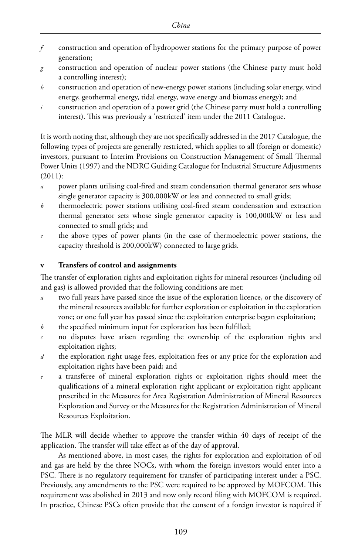- *f* construction and operation of hydropower stations for the primary purpose of power generation;
- *g* construction and operation of nuclear power stations (the Chinese party must hold a controlling interest);
- *h* construction and operation of new-energy power stations (including solar energy, wind energy, geothermal energy, tidal energy, wave energy and biomass energy); and
- *i* construction and operation of a power grid (the Chinese party must hold a controlling interest). This was previously a 'restricted' item under the 2011 Catalogue.

It is worth noting that, although they are not specifically addressed in the 2017 Catalogue, the following types of projects are generally restricted, which applies to all (foreign or domestic) investors, pursuant to Interim Provisions on Construction Management of Small Thermal Power Units (1997) and the NDRC Guiding Catalogue for Industrial Structure Adjustments (2011):

- *a* power plants utilising coal-fired and steam condensation thermal generator sets whose single generator capacity is 300,000kW or less and connected to small grids;
- *b* thermoelectric power stations utilising coal-fired steam condensation and extraction thermal generator sets whose single generator capacity is 100,000kW or less and connected to small grids; and
- *c* the above types of power plants (in the case of thermoelectric power stations, the capacity threshold is 200,000kW) connected to large grids.

#### **v Transfers of control and assignments**

The transfer of exploration rights and exploitation rights for mineral resources (including oil and gas) is allowed provided that the following conditions are met:

- *a* two full years have passed since the issue of the exploration licence, or the discovery of the mineral resources available for further exploration or exploitation in the exploration zone; or one full year has passed since the exploitation enterprise began exploitation;
- *b* the specified minimum input for exploration has been fulfilled;
- *c* no disputes have arisen regarding the ownership of the exploration rights and exploitation rights;
- *d* the exploration right usage fees, exploitation fees or any price for the exploration and exploitation rights have been paid; and
- a transferee of mineral exploration rights or exploitation rights should meet the qualifications of a mineral exploration right applicant or exploitation right applicant prescribed in the Measures for Area Registration Administration of Mineral Resources Exploration and Survey or the Measures for the Registration Administration of Mineral Resources Exploitation.

The MLR will decide whether to approve the transfer within 40 days of receipt of the application. The transfer will take effect as of the day of approval.

As mentioned above, in most cases, the rights for exploration and exploitation of oil and gas are held by the three NOCs, with whom the foreign investors would enter into a PSC. There is no regulatory requirement for transfer of participating interest under a PSC. Previously, any amendments to the PSC were required to be approved by MOFCOM. This requirement was abolished in 2013 and now only record filing with MOFCOM is required. In practice, Chinese PSCs often provide that the consent of a foreign investor is required if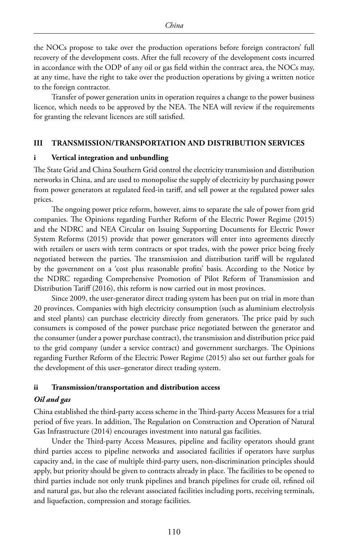the NOCs propose to take over the production operations before foreign contractors' full recovery of the development costs. After the full recovery of the development costs incurred in accordance with the ODP of any oil or gas field within the contract area, the NOCs may, at any time, have the right to take over the production operations by giving a written notice to the foreign contractor.

Transfer of power generation units in operation requires a change to the power business licence, which needs to be approved by the NEA. The NEA will review if the requirements for granting the relevant licences are still satisfied.

#### **III TRANSMISSION/TRANSPORTATION AND DISTRIBUTION SERVICES**

#### **i Vertical integration and unbundling**

The State Grid and China Southern Grid control the electricity transmission and distribution networks in China, and are used to monopolise the supply of electricity by purchasing power from power generators at regulated feed-in tariff, and sell power at the regulated power sales prices.

The ongoing power price reform, however, aims to separate the sale of power from grid companies. The Opinions regarding Further Reform of the Electric Power Regime (2015) and the NDRC and NEA Circular on Issuing Supporting Documents for Electric Power System Reforms (2015) provide that power generators will enter into agreements directly with retailers or users with term contracts or spot trades, with the power price being freely negotiated between the parties. The transmission and distribution tariff will be regulated by the government on a 'cost plus reasonable profits' basis. According to the Notice by the NDRC regarding Comprehensive Promotion of Pilot Reform of Transmission and Distribution Tariff (2016), this reform is now carried out in most provinces.

Since 2009, the user-generator direct trading system has been put on trial in more than 20 provinces. Companies with high electricity consumption (such as aluminium electrolysis and steel plants) can purchase electricity directly from generators. The price paid by such consumers is composed of the power purchase price negotiated between the generator and the consumer (under a power purchase contract), the transmission and distribution price paid to the grid company (under a service contract) and government surcharges. The Opinions regarding Further Reform of the Electric Power Regime (2015) also set out further goals for the development of this user–generator direct trading system.

#### **ii Transmission/transportation and distribution access**

#### *Oil and gas*

China established the third-party access scheme in the Third-party Access Measures for a trial period of five years. In addition, The Regulation on Construction and Operation of Natural Gas Infrastructure (2014) encourages investment into natural gas facilities.

Under the Third-party Access Measures, pipeline and facility operators should grant third parties access to pipeline networks and associated facilities if operators have surplus capacity and, in the case of multiple third-party users, non-discrimination principles should apply, but priority should be given to contracts already in place. The facilities to be opened to third parties include not only trunk pipelines and branch pipelines for crude oil, refined oil and natural gas, but also the relevant associated facilities including ports, receiving terminals, and liquefaction, compression and storage facilities.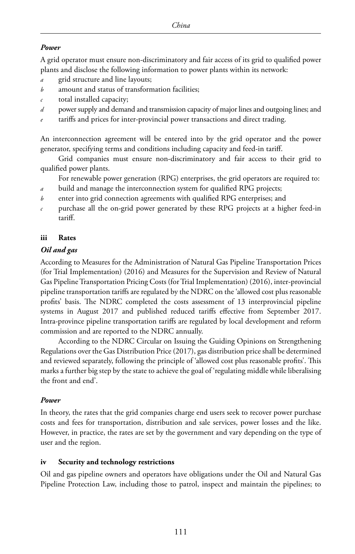#### *Power*

A grid operator must ensure non-discriminatory and fair access of its grid to qualified power plants and disclose the following information to power plants within its network:

- *a* grid structure and line layouts;
- *b* amount and status of transformation facilities;
- *c* total installed capacity;
- *d* power supply and demand and transmission capacity of major lines and outgoing lines; and
- tariffs and prices for inter-provincial power transactions and direct trading.

An interconnection agreement will be entered into by the grid operator and the power generator, specifying terms and conditions including capacity and feed-in tariff.

Grid companies must ensure non-discriminatory and fair access to their grid to qualified power plants.

For renewable power generation (RPG) enterprises, the grid operators are required to:

- *a* build and manage the interconnection system for qualified RPG projects;
- *b* enter into grid connection agreements with qualified RPG enterprises; and
- *c* purchase all the on-grid power generated by these RPG projects at a higher feed-in tariff.

#### **iii Rates**

#### *Oil and gas*

According to Measures for the Administration of Natural Gas Pipeline Transportation Prices (for Trial Implementation) (2016) and Measures for the Supervision and Review of Natural Gas Pipeline Transportation Pricing Costs (for Trial Implementation) (2016), inter-provincial pipeline transportation tariffs are regulated by the NDRC on the 'allowed cost plus reasonable profits' basis. The NDRC completed the costs assessment of 13 interprovincial pipeline systems in August 2017 and published reduced tariffs effective from September 2017. Intra-province pipeline transportation tariffs are regulated by local development and reform commission and are reported to the NDRC annually.

According to the NDRC Circular on Issuing the Guiding Opinions on Strengthening Regulations over the Gas Distribution Price (2017), gas distribution price shall be determined and reviewed separately, following the principle of 'allowed cost plus reasonable profits'. This marks a further big step by the state to achieve the goal of 'regulating middle while liberalising the front and end'.

#### *Power*

In theory, the rates that the grid companies charge end users seek to recover power purchase costs and fees for transportation, distribution and sale services, power losses and the like. However, in practice, the rates are set by the government and vary depending on the type of user and the region.

#### **iv Security and technology restrictions**

Oil and gas pipeline owners and operators have obligations under the Oil and Natural Gas Pipeline Protection Law, including those to patrol, inspect and maintain the pipelines; to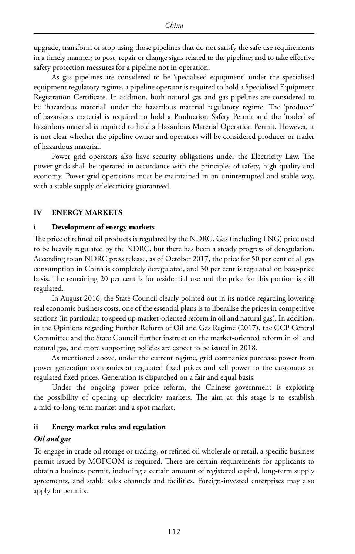upgrade, transform or stop using those pipelines that do not satisfy the safe use requirements in a timely manner; to post, repair or change signs related to the pipeline; and to take effective safety protection measures for a pipeline not in operation.

As gas pipelines are considered to be 'specialised equipment' under the specialised equipment regulatory regime, a pipeline operator is required to hold a Specialised Equipment Registration Certificate. In addition, both natural gas and gas pipelines are considered to be 'hazardous material' under the hazardous material regulatory regime. The 'producer' of hazardous material is required to hold a Production Safety Permit and the 'trader' of hazardous material is required to hold a Hazardous Material Operation Permit. However, it is not clear whether the pipeline owner and operators will be considered producer or trader of hazardous material.

Power grid operators also have security obligations under the Electricity Law. The power grids shall be operated in accordance with the principles of safety, high quality and economy. Power grid operations must be maintained in an uninterrupted and stable way, with a stable supply of electricity guaranteed.

#### **IV ENERGY MARKETS**

#### **i Development of energy markets**

The price of refined oil products is regulated by the NDRC. Gas (including LNG) price used to be heavily regulated by the NDRC, but there has been a steady progress of deregulation. According to an NDRC press release, as of October 2017, the price for 50 per cent of all gas consumption in China is completely deregulated, and 30 per cent is regulated on base-price basis. The remaining 20 per cent is for residential use and the price for this portion is still regulated.

In August 2016, the State Council clearly pointed out in its notice regarding lowering real economic business costs, one of the essential plans is to liberalise the prices in competitive sections (in particular, to speed up market-oriented reform in oil and natural gas). In addition, in the Opinions regarding Further Reform of Oil and Gas Regime (2017), the CCP Central Committee and the State Council further instruct on the market-oriented reform in oil and natural gas, and more supporting policies are expect to be issued in 2018.

As mentioned above, under the current regime, grid companies purchase power from power generation companies at regulated fixed prices and sell power to the customers at regulated fixed prices. Generation is dispatched on a fair and equal basis.

Under the ongoing power price reform, the Chinese government is exploring the possibility of opening up electricity markets. The aim at this stage is to establish a mid-to-long-term market and a spot market.

#### **ii Energy market rules and regulation**

#### *Oil and gas*

To engage in crude oil storage or trading, or refined oil wholesale or retail, a specific business permit issued by MOFCOM is required. There are certain requirements for applicants to obtain a business permit, including a certain amount of registered capital, long-term supply agreements, and stable sales channels and facilities. Foreign-invested enterprises may also apply for permits.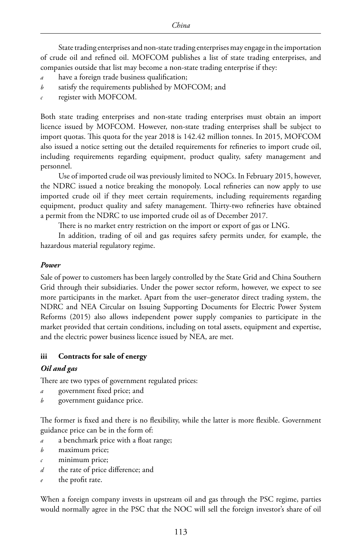State trading enterprises and non-state trading enterprises may engage in the importation of crude oil and refined oil. MOFCOM publishes a list of state trading enterprises, and companies outside that list may become a non-state trading enterprise if they:

- have a foreign trade business qualification;
- *b* satisfy the requirements published by MOFCOM; and
- *c* register with MOFCOM.

Both state trading enterprises and non-state trading enterprises must obtain an import licence issued by MOFCOM. However, non-state trading enterprises shall be subject to import quotas. This quota for the year 2018 is 142.42 million tonnes. In 2015, MOFCOM also issued a notice setting out the detailed requirements for refineries to import crude oil, including requirements regarding equipment, product quality, safety management and personnel.

Use of imported crude oil was previously limited to NOCs. In February 2015, however, the NDRC issued a notice breaking the monopoly. Local refineries can now apply to use imported crude oil if they meet certain requirements, including requirements regarding equipment, product quality and safety management. Thirty-two refineries have obtained a permit from the NDRC to use imported crude oil as of December 2017.

There is no market entry restriction on the import or export of gas or LNG.

In addition, trading of oil and gas requires safety permits under, for example, the hazardous material regulatory regime.

#### *Power*

Sale of power to customers has been largely controlled by the State Grid and China Southern Grid through their subsidiaries. Under the power sector reform, however, we expect to see more participants in the market. Apart from the user–generator direct trading system, the NDRC and NEA Circular on Issuing Supporting Documents for Electric Power System Reforms (2015) also allows independent power supply companies to participate in the market provided that certain conditions, including on total assets, equipment and expertise, and the electric power business licence issued by NEA, are met.

#### **iii Contracts for sale of energy**

#### *Oil and gas*

There are two types of government regulated prices:

- *a* government fixed price; and
- *b* government guidance price.

The former is fixed and there is no flexibility, while the latter is more flexible. Government guidance price can be in the form of:

- *a* a benchmark price with a float range;
- *b* maximum price;
- *c* minimum price;
- *d* the rate of price difference; and
- the profit rate.

When a foreign company invests in upstream oil and gas through the PSC regime, parties would normally agree in the PSC that the NOC will sell the foreign investor's share of oil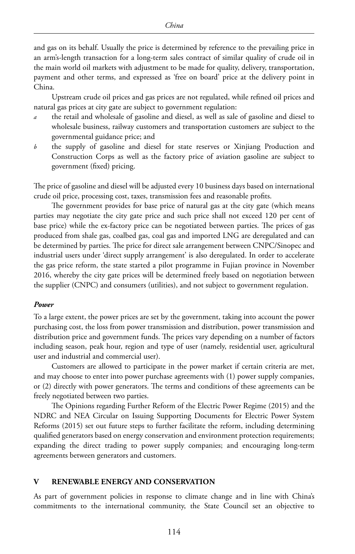and gas on its behalf. Usually the price is determined by reference to the prevailing price in an arm's-length transaction for a long-term sales contract of similar quality of crude oil in the main world oil markets with adjustment to be made for quality, delivery, transportation, payment and other terms, and expressed as 'free on board' price at the delivery point in China.

Upstream crude oil prices and gas prices are not regulated, while refined oil prices and natural gas prices at city gate are subject to government regulation:

- *a* the retail and wholesale of gasoline and diesel, as well as sale of gasoline and diesel to wholesale business, railway customers and transportation customers are subject to the governmental guidance price; and
- *b* the supply of gasoline and diesel for state reserves or Xinjiang Production and Construction Corps as well as the factory price of aviation gasoline are subject to government (fixed) pricing.

The price of gasoline and diesel will be adjusted every 10 business days based on international crude oil price, processing cost, taxes, transmission fees and reasonable profits.

The government provides for base price of natural gas at the city gate (which means parties may negotiate the city gate price and such price shall not exceed 120 per cent of base price) while the ex-factory price can be negotiated between parties. The prices of gas produced from shale gas, coalbed gas, coal gas and imported LNG are deregulated and can be determined by parties. The price for direct sale arrangement between CNPC/Sinopec and industrial users under 'direct supply arrangement' is also deregulated. In order to accelerate the gas price reform, the state started a pilot programme in Fujian province in November 2016, whereby the city gate prices will be determined freely based on negotiation between the supplier (CNPC) and consumers (utilities), and not subject to government regulation.

#### *Power*

To a large extent, the power prices are set by the government, taking into account the power purchasing cost, the loss from power transmission and distribution, power transmission and distribution price and government funds. The prices vary depending on a number of factors including season, peak hour, region and type of user (namely, residential user, agricultural user and industrial and commercial user).

Customers are allowed to participate in the power market if certain criteria are met, and may choose to enter into power purchase agreements with (1) power supply companies, or (2) directly with power generators. The terms and conditions of these agreements can be freely negotiated between two parties.

The Opinions regarding Further Reform of the Electric Power Regime (2015) and the NDRC and NEA Circular on Issuing Supporting Documents for Electric Power System Reforms (2015) set out future steps to further facilitate the reform, including determining qualified generators based on energy conservation and environment protection requirements; expanding the direct trading to power supply companies; and encouraging long-term agreements between generators and customers.

#### **V RENEWABLE ENERGY AND CONSERVATION**

As part of government policies in response to climate change and in line with China's commitments to the international community, the State Council set an objective to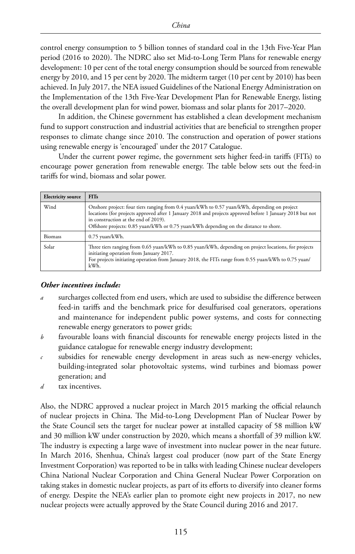control energy consumption to 5 billion tonnes of standard coal in the 13th Five-Year Plan period (2016 to 2020). The NDRC also set Mid-to-Long Term Plans for renewable energy development: 10 per cent of the total energy consumption should be sourced from renewable energy by 2010, and 15 per cent by 2020. The midterm target (10 per cent by 2010) has been achieved. In July 2017, the NEA issued Guidelines of the National Energy Administration on the Implementation of the 13th Five-Year Development Plan for Renewable Energy, listing the overall development plan for wind power, biomass and solar plants for 2017–2020.

In addition, the Chinese government has established a clean development mechanism fund to support construction and industrial activities that are beneficial to strengthen proper responses to climate change since 2010. The construction and operation of power stations using renewable energy is 'encouraged' under the 2017 Catalogue.

Under the current power regime, the government sets higher feed-in tariffs (FITs) to encourage power generation from renewable energy. The table below sets out the feed-in tariffs for wind, biomass and solar power.

| <b>Electricity source</b> | <b>FITs</b>                                                                                                                                                                                                                                                                                                                                |
|---------------------------|--------------------------------------------------------------------------------------------------------------------------------------------------------------------------------------------------------------------------------------------------------------------------------------------------------------------------------------------|
| Wind                      | Onshore project: four tiers ranging from 0.4 yuan/kWh to 0.57 yuan/kWh, depending on project<br>locations (for projects approved after 1 January 2018 and projects approved before 1 January 2018 but not<br>in construction at the end of 2019).<br>Offshore projects: 0.85 yuan/kWh or 0.75 yuan/kWh depending on the distance to shore. |
| <b>Biomass</b>            | $0.75$ yuan/kWh.                                                                                                                                                                                                                                                                                                                           |
| Solar                     | Three tiers ranging from 0.65 yuan/kWh to 0.85 yuan/kWh, depending on project locations, for projects<br>initiating operation from January 2017.<br>For projects initiating operation from January 2018, the FITs range from 0.55 yuan/kWh to 0.75 yuan/<br>kWh.                                                                           |

#### *Other incentives include:*

- *a* surcharges collected from end users, which are used to subsidise the difference between feed-in tariffs and the benchmark price for desulfurised coal generators, operations and maintenance for independent public power systems, and costs for connecting renewable energy generators to power grids;
- *b* favourable loans with financial discounts for renewable energy projects listed in the guidance catalogue for renewable energy industry development;
- *c* subsidies for renewable energy development in areas such as new-energy vehicles, building-integrated solar photovoltaic systems, wind turbines and biomass power generation; and
- *d* tax incentives.

Also, the NDRC approved a nuclear project in March 2015 marking the official relaunch of nuclear projects in China. The Mid-to-Long Development Plan of Nuclear Power by the State Council sets the target for nuclear power at installed capacity of 58 million kW and 30 million kW under construction by 2020, which means a shortfall of 39 million kW. The industry is expecting a large wave of investment into nuclear power in the near future. In March 2016, Shenhua, China's largest coal producer (now part of the State Energy Investment Corporation) was reported to be in talks with leading Chinese nuclear developers China National Nuclear Corporation and China General Nuclear Power Corporation on taking stakes in domestic nuclear projects, as part of its efforts to diversify into cleaner forms of energy. Despite the NEA's earlier plan to promote eight new projects in 2017, no new nuclear projects were actually approved by the State Council during 2016 and 2017.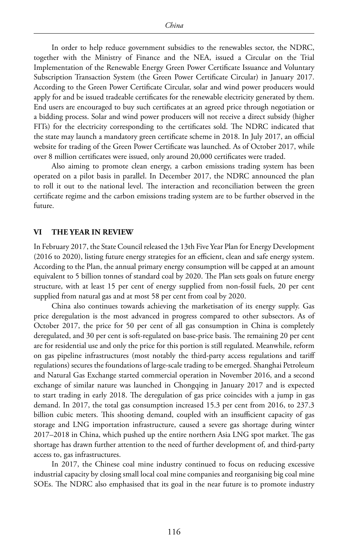In order to help reduce government subsidies to the renewables sector, the NDRC, together with the Ministry of Finance and the NEA, issued a Circular on the Trial Implementation of the Renewable Energy Green Power Certificate Issuance and Voluntary Subscription Transaction System (the Green Power Certificate Circular) in January 2017. According to the Green Power Certificate Circular, solar and wind power producers would apply for and be issued tradeable certificates for the renewable electricity generated by them. End users are encouraged to buy such certificates at an agreed price through negotiation or a bidding process. Solar and wind power producers will not receive a direct subsidy (higher FITs) for the electricity corresponding to the certificates sold. The NDRC indicated that the state may launch a mandatory green certificate scheme in 2018. In July 2017, an official website for trading of the Green Power Certificate was launched. As of October 2017, while over 8 million certificates were issued, only around 20,000 certificates were traded.

Also aiming to promote clean energy, a carbon emissions trading system has been operated on a pilot basis in parallel. In December 2017, the NDRC announced the plan to roll it out to the national level. The interaction and reconciliation between the green certificate regime and the carbon emissions trading system are to be further observed in the future.

#### **VI THE YEAR IN REVIEW**

In February 2017, the State Council released the 13th Five Year Plan for Energy Development (2016 to 2020), listing future energy strategies for an efficient, clean and safe energy system. According to the Plan, the annual primary energy consumption will be capped at an amount equivalent to 5 billion tonnes of standard coal by 2020. The Plan sets goals on future energy structure, with at least 15 per cent of energy supplied from non-fossil fuels, 20 per cent supplied from natural gas and at most 58 per cent from coal by 2020.

China also continues towards achieving the marketisation of its energy supply. Gas price deregulation is the most advanced in progress compared to other subsectors. As of October 2017, the price for 50 per cent of all gas consumption in China is completely deregulated, and 30 per cent is soft-regulated on base-price basis. The remaining 20 per cent are for residential use and only the price for this portion is still regulated. Meanwhile, reform on gas pipeline infrastructures (most notably the third-party access regulations and tariff regulations) secures the foundations of large-scale trading to be emerged. Shanghai Petroleum and Natural Gas Exchange started commercial operation in November 2016, and a second exchange of similar nature was launched in Chongqing in January 2017 and is expected to start trading in early 2018. The deregulation of gas price coincides with a jump in gas demand. In 2017, the total gas consumption increased 15.3 per cent from 2016, to 237.3 billion cubic meters. This shooting demand, coupled with an insufficient capacity of gas storage and LNG importation infrastructure, caused a severe gas shortage during winter 2017–2018 in China, which pushed up the entire northern Asia LNG spot market. The gas shortage has drawn further attention to the need of further development of, and third-party access to, gas infrastructures.

In 2017, the Chinese coal mine industry continued to focus on reducing excessive industrial capacity by closing small local coal mine companies and reorganising big coal mine SOEs. The NDRC also emphasised that its goal in the near future is to promote industry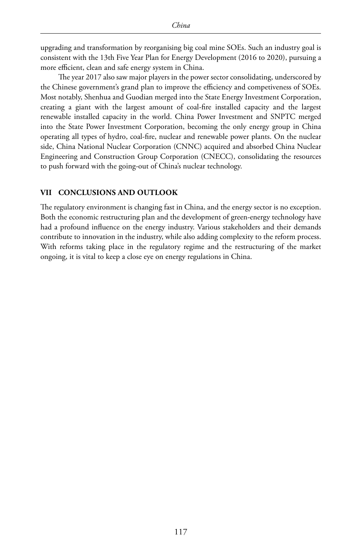upgrading and transformation by reorganising big coal mine SOEs. Such an industry goal is consistent with the 13th Five Year Plan for Energy Development (2016 to 2020), pursuing a more efficient, clean and safe energy system in China.

The year 2017 also saw major players in the power sector consolidating, underscored by the Chinese government's grand plan to improve the efficiency and competiveness of SOEs. Most notably, Shenhua and Guodian merged into the State Energy Investment Corporation, creating a giant with the largest amount of coal-fire installed capacity and the largest renewable installed capacity in the world. China Power Investment and SNPTC merged into the State Power Investment Corporation, becoming the only energy group in China operating all types of hydro, coal-fire, nuclear and renewable power plants. On the nuclear side, China National Nuclear Corporation (CNNC) acquired and absorbed China Nuclear Engineering and Construction Group Corporation (CNECC), consolidating the resources to push forward with the going-out of China's nuclear technology.

#### **VII CONCLUSIONS AND OUTLOOK**

The regulatory environment is changing fast in China, and the energy sector is no exception. Both the economic restructuring plan and the development of green-energy technology have had a profound influence on the energy industry. Various stakeholders and their demands contribute to innovation in the industry, while also adding complexity to the reform process. With reforms taking place in the regulatory regime and the restructuring of the market ongoing, it is vital to keep a close eye on energy regulations in China.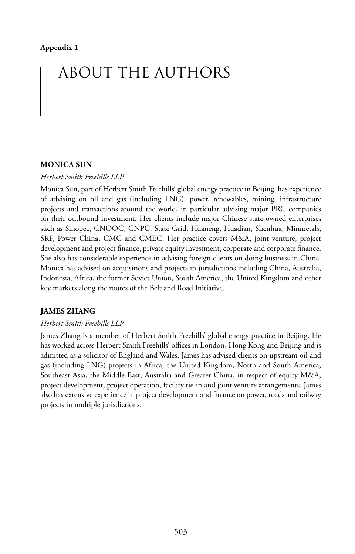# ABOUT THE AUTHORS

#### **MONICA SUN**

#### *Herbert Smith Freehills LLP*

Monica Sun, part of Herbert Smith Freehills' global energy practice in Beijing, has experience of advising on oil and gas (including LNG), power, renewables, mining, infrastructure projects and transactions around the world, in particular advising major PRC companies on their outbound investment. Her clients include major Chinese state-owned enterprises such as Sinopec, CNOOC, CNPC, State Grid, Huaneng, Huadian, Shenhua, Minmetals, SRF, Power China, CMC and CMEC. Her practice covers M&A, joint venture, project development and project finance, private equity investment, corporate and corporate finance. She also has considerable experience in advising foreign clients on doing business in China. Monica has advised on acquisitions and projects in jurisdictions including China, Australia, Indonesia, Africa, the former Soviet Union, South America, the United Kingdom and other key markets along the routes of the Belt and Road Initiative.

#### **JAMES ZHANG**

#### *Herbert Smith Freehills LLP*

James Zhang is a member of Herbert Smith Freehills' global energy practice in Beijing. He has worked across Herbert Smith Freehills' offices in London, Hong Kong and Beijing and is admitted as a solicitor of England and Wales. James has advised clients on upstream oil and gas (including LNG) projects in Africa, the United Kingdom, North and South America, Southeast Asia, the Middle East, Australia and Greater China, in respect of equity M&A, project development, project operation, facility tie-in and joint venture arrangements. James also has extensive experience in project development and finance on power, roads and railway projects in multiple jurisdictions.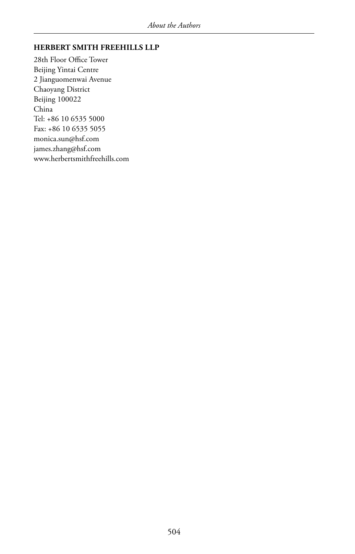#### **HERBERT SMITH FREEHILLS LLP**

28th Floor Office Tower Beijing Yintai Centre 2 Jianguomenwai Avenue Chaoyang District Beijing 100022 China Tel: +86 10 6535 5000 Fax: +86 10 6535 5055 monica.sun@hsf.com james.zhang@hsf.com www.herbertsmithfreehills.com